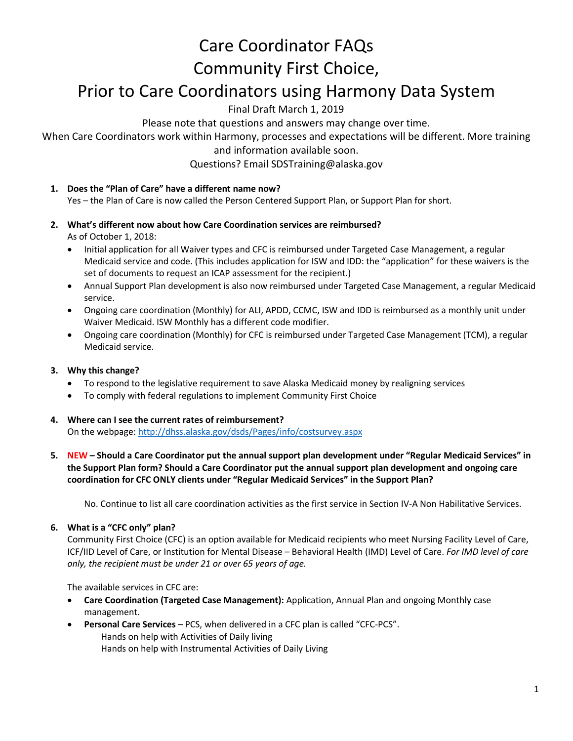# Care Coordinator FAQs Community First Choice,

# Prior to Care Coordinators using Harmony Data System

Final Draft March 1, 2019

Please note that questions and answers may change over time.

When Care Coordinators work within Harmony, processes and expectations will be different. More training

and information available soon.

Questions? Email SDSTraining@alaska.gov

**1. Does the "Plan of Care" have a different name now?** 

Yes – the Plan of Care is now called the Person Centered Support Plan, or Support Plan for short.

- **2. What's different now about how Care Coordination services are reimbursed?**  As of October 1, 2018:
	- Initial application for all Waiver types and CFC is reimbursed under Targeted Case Management, a regular Medicaid service and code. (This includes application for ISW and IDD: the "application" for these waivers is the set of documents to request an ICAP assessment for the recipient.)
	- Annual Support Plan development is also now reimbursed under Targeted Case Management, a regular Medicaid service.
	- Ongoing care coordination (Monthly) for ALI, APDD, CCMC, ISW and IDD is reimbursed as a monthly unit under Waiver Medicaid. ISW Monthly has a different code modifier.
	- Ongoing care coordination (Monthly) for CFC is reimbursed under Targeted Case Management (TCM), a regular Medicaid service.

# **3. Why this change?**

- To respond to the legislative requirement to save Alaska Medicaid money by realigning services
- To comply with federal regulations to implement Community First Choice
- **4. Where can I see the current rates of reimbursement?**  On the webpage[: http://dhss.alaska.gov/dsds/Pages/info/costsurvey.aspx](http://dhss.alaska.gov/dsds/Pages/info/costsurvey.aspx)
- **5. NEW – Should a Care Coordinator put the annual support plan development under "Regular Medicaid Services" in the Support Plan form? Should a Care Coordinator put the annual support plan development and ongoing care coordination for CFC ONLY clients under "Regular Medicaid Services" in the Support Plan?**

No. Continue to list all care coordination activities as the first service in Section IV-A Non Habilitative Services.

#### **6. What is a "CFC only" plan?**

Community First Choice (CFC) is an option available for Medicaid recipients who meet Nursing Facility Level of Care, ICF/IID Level of Care, or Institution for Mental Disease – Behavioral Health (IMD) Level of Care. *For IMD level of care only, the recipient must be under 21 or over 65 years of age.* 

The available services in CFC are:

- **Care Coordination (Targeted Case Management):** Application, Annual Plan and ongoing Monthly case management.
- **Personal Care Services** PCS, when delivered in a CFC plan is called "CFC-PCS". Hands on help with Activities of Daily living Hands on help with Instrumental Activities of Daily Living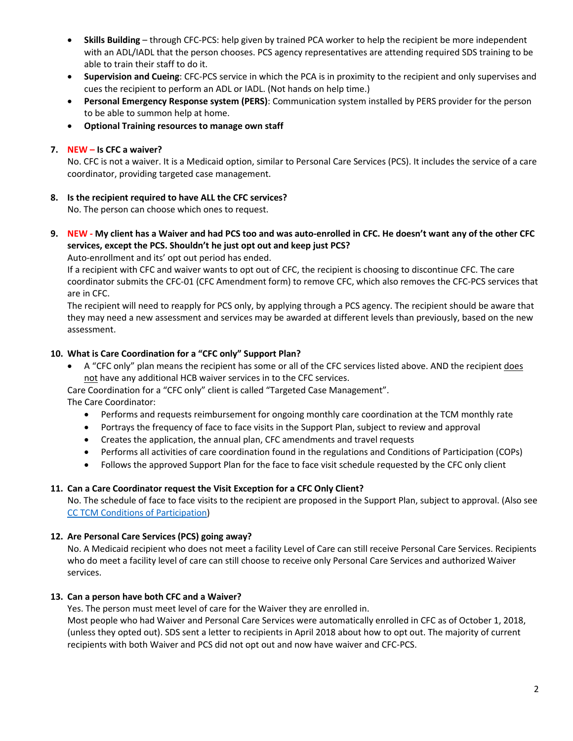- **Skills Building** through CFC-PCS: help given by trained PCA worker to help the recipient be more independent with an ADL/IADL that the person chooses. PCS agency representatives are attending required SDS training to be able to train their staff to do it.
- **Supervision and Cueing**: CFC-PCS service in which the PCA is in proximity to the recipient and only supervises and cues the recipient to perform an ADL or IADL. (Not hands on help time.)
- **Personal Emergency Response system (PERS)**: Communication system installed by PERS provider for the person to be able to summon help at home.
- **Optional Training resources to manage own staff**

#### **7. NEW – Is CFC a waiver?**

No. CFC is not a waiver. It is a Medicaid option, similar to Personal Care Services (PCS). It includes the service of a care coordinator, providing targeted case management.

#### **8. Is the recipient required to have ALL the CFC services?**

No. The person can choose which ones to request.

**9. NEW - My client has a Waiver and had PCS too and was auto-enrolled in CFC. He doesn't want any of the other CFC services, except the PCS. Shouldn't he just opt out and keep just PCS?**

Auto-enrollment and its' opt out period has ended.

If a recipient with CFC and waiver wants to opt out of CFC, the recipient is choosing to discontinue CFC. The care coordinator submits the CFC-01 (CFC Amendment form) to remove CFC, which also removes the CFC-PCS services that are in CFC.

The recipient will need to reapply for PCS only, by applying through a PCS agency. The recipient should be aware that they may need a new assessment and services may be awarded at different levels than previously, based on the new assessment.

#### **10. What is Care Coordination for a "CFC only" Support Plan?**

• A "CFC only" plan means the recipient has some or all of the CFC services listed above. AND the recipient does not have any additional HCB waiver services in to the CFC services.

Care Coordination for a "CFC only" client is called "Targeted Case Management".

The Care Coordinator:

- Performs and requests reimbursement for ongoing monthly care coordination at the TCM monthly rate
- Portrays the frequency of face to face visits in the Support Plan, subject to review and approval
- Creates the application, the annual plan, CFC amendments and travel requests
- Performs all activities of care coordination found in the regulations and Conditions of Participation (COPs)
- Follows the approved Support Plan for the face to face visit schedule requested by the CFC only client

#### **11. Can a Care Coordinator request the Visit Exception for a CFC Only Client?**

No. The schedule of face to face visits to the recipient are proposed in the Support Plan, subject to approval. (Also see [CC TCM Conditions of Participation\)](http://dhss.alaska.gov/dsds/Documents/SDSforms/CC_TCM_COP.pdf)

#### **12. Are Personal Care Services (PCS) going away?**

No. A Medicaid recipient who does not meet a facility Level of Care can still receive Personal Care Services. Recipients who do meet a facility level of care can still choose to receive only Personal Care Services and authorized Waiver services.

#### **13. Can a person have both CFC and a Waiver?**

Yes. The person must meet level of care for the Waiver they are enrolled in.

Most people who had Waiver and Personal Care Services were automatically enrolled in CFC as of October 1, 2018, (unless they opted out). SDS sent a letter to recipients in April 2018 about how to opt out. The majority of current recipients with both Waiver and PCS did not opt out and now have waiver and CFC-PCS.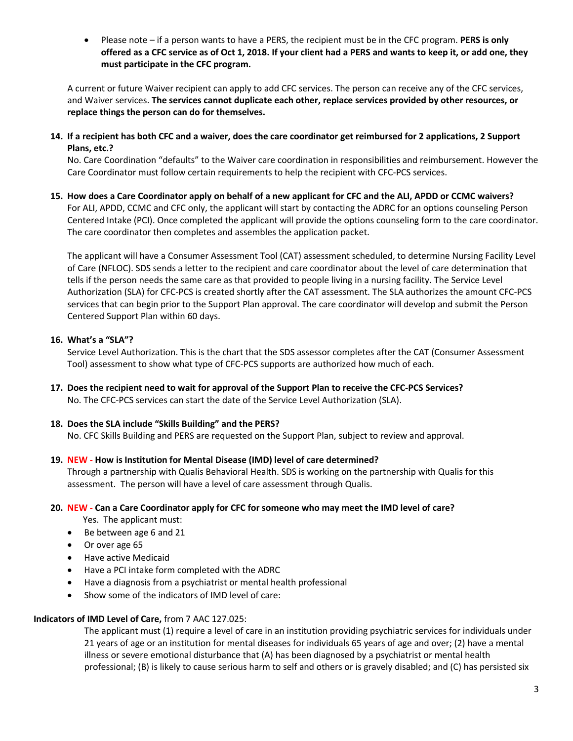• Please note – if a person wants to have a PERS, the recipient must be in the CFC program. **PERS is only offered as a CFC service as of Oct 1, 2018. If your client had a PERS and wants to keep it, or add one, they must participate in the CFC program.**

A current or future Waiver recipient can apply to add CFC services. The person can receive any of the CFC services, and Waiver services. **The services cannot duplicate each other, replace services provided by other resources, or replace things the person can do for themselves.** 

**14. If a recipient has both CFC and a waiver, does the care coordinator get reimbursed for 2 applications, 2 Support Plans, etc.?** 

No. Care Coordination "defaults" to the Waiver care coordination in responsibilities and reimbursement. However the Care Coordinator must follow certain requirements to help the recipient with CFC-PCS services.

**15. How does a Care Coordinator apply on behalf of a new applicant for CFC and the ALI, APDD or CCMC waivers?**  For ALI, APDD, CCMC and CFC only, the applicant will start by contacting the ADRC for an options counseling Person Centered Intake (PCI). Once completed the applicant will provide the options counseling form to the care coordinator. The care coordinator then completes and assembles the application packet.

The applicant will have a Consumer Assessment Tool (CAT) assessment scheduled, to determine Nursing Facility Level of Care (NFLOC). SDS sends a letter to the recipient and care coordinator about the level of care determination that tells if the person needs the same care as that provided to people living in a nursing facility. The Service Level Authorization (SLA) for CFC-PCS is created shortly after the CAT assessment. The SLA authorizes the amount CFC-PCS services that can begin prior to the Support Plan approval. The care coordinator will develop and submit the Person Centered Support Plan within 60 days.

#### **16. What's a "SLA"?**

Service Level Authorization. This is the chart that the SDS assessor completes after the CAT (Consumer Assessment Tool) assessment to show what type of CFC-PCS supports are authorized how much of each.

**17. Does the recipient need to wait for approval of the Support Plan to receive the CFC-PCS Services?** No. The CFC-PCS services can start the date of the Service Level Authorization (SLA).

#### **18. Does the SLA include "Skills Building" and the PERS?**

No. CFC Skills Building and PERS are requested on the Support Plan, subject to review and approval.

**19. NEW - How is Institution for Mental Disease (IMD) level of care determined?** 

Through a partnership with Qualis Behavioral Health. SDS is working on the partnership with Qualis for this assessment. The person will have a level of care assessment through Qualis.

#### **20. NEW - Can a Care Coordinator apply for CFC for someone who may meet the IMD level of care?**

Yes. The applicant must:

- Be between age 6 and 21
- Or over age 65
- Have active Medicaid
- Have a PCI intake form completed with the ADRC
- Have a diagnosis from a psychiatrist or mental health professional
- Show some of the indicators of IMD level of care:

#### **Indicators of IMD Level of Care,** from 7 AAC 127.025:

The applicant must (1) require a level of care in an institution providing psychiatric services for individuals under 21 years of age or an institution for mental diseases for individuals 65 years of age and over; (2) have a mental illness or severe emotional disturbance that (A) has been diagnosed by a psychiatrist or mental health professional; (B) is likely to cause serious harm to self and others or is gravely disabled; and (C) has persisted six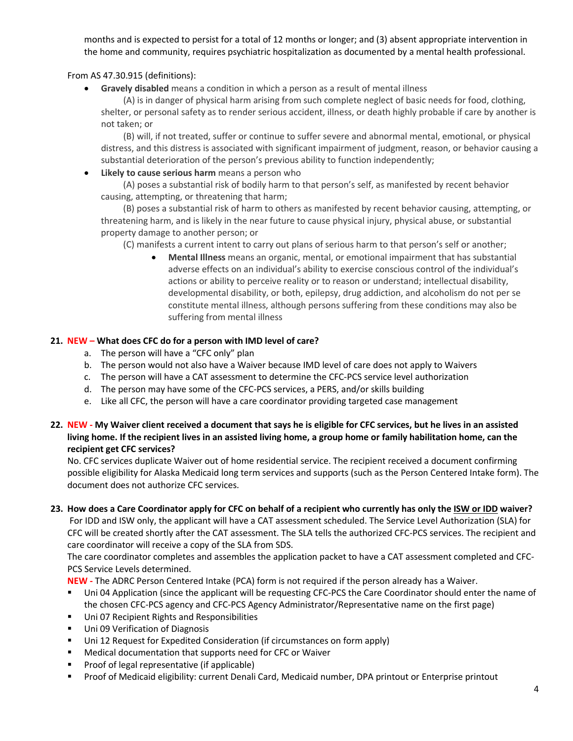months and is expected to persist for a total of 12 months or longer; and (3) absent appropriate intervention in the home and community, requires psychiatric hospitalization as documented by a mental health professional.

From AS 47.30.915 (definitions):

• **Gravely disabled** means a condition in which a person as a result of mental illness

(A) is in danger of physical harm arising from such complete neglect of basic needs for food, clothing, shelter, or personal safety as to render serious accident, illness, or death highly probable if care by another is not taken; or

(B) will, if not treated, suffer or continue to suffer severe and abnormal mental, emotional, or physical distress, and this distress is associated with significant impairment of judgment, reason, or behavior causing a substantial deterioration of the person's previous ability to function independently;

• **Likely to cause serious harm** means a person who

(A) poses a substantial risk of bodily harm to that person's self, as manifested by recent behavior causing, attempting, or threatening that harm;

(B) poses a substantial risk of harm to others as manifested by recent behavior causing, attempting, or threatening harm, and is likely in the near future to cause physical injury, physical abuse, or substantial property damage to another person; or

(C) manifests a current intent to carry out plans of serious harm to that person's self or another;

• **Mental Illness** means an organic, mental, or emotional impairment that has substantial adverse effects on an individual's ability to exercise conscious control of the individual's actions or ability to perceive reality or to reason or understand; intellectual disability, developmental disability, or both, epilepsy, drug addiction, and alcoholism do not per se constitute mental illness, although persons suffering from these conditions may also be suffering from mental illness

#### **21. NEW – What does CFC do for a person with IMD level of care?**

- a. The person will have a "CFC only" plan
- b. The person would not also have a Waiver because IMD level of care does not apply to Waivers
- c. The person will have a CAT assessment to determine the CFC-PCS service level authorization
- d. The person may have some of the CFC-PCS services, a PERS, and/or skills building
- e. Like all CFC, the person will have a care coordinator providing targeted case management

### **22. NEW - My Waiver client received a document that says he is eligible for CFC services, but he lives in an assisted living home. If the recipient lives in an assisted living home, a group home or family habilitation home, can the recipient get CFC services?**

No. CFC services duplicate Waiver out of home residential service. The recipient received a document confirming possible eligibility for Alaska Medicaid long term services and supports (such as the Person Centered Intake form). The document does not authorize CFC services.

#### **23. How does a Care Coordinator apply for CFC on behalf of a recipient who currently has only the ISW or IDD waiver?**

For IDD and ISW only, the applicant will have a CAT assessment scheduled. The Service Level Authorization (SLA) for CFC will be created shortly after the CAT assessment. The SLA tells the authorized CFC-PCS services. The recipient and care coordinator will receive a copy of the SLA from SDS.

The care coordinator completes and assembles the application packet to have a CAT assessment completed and CFC-PCS Service Levels determined.

**NEW -** The ADRC Person Centered Intake (PCA) form is not required if the person already has a Waiver.

- Uni 04 Application (since the applicant will be requesting CFC-PCS the Care Coordinator should enter the name of the chosen CFC-PCS agency and CFC-PCS Agency Administrator/Representative name on the first page)
- Uni 07 Recipient Rights and Responsibilities
- **Uni 09 Verification of Diagnosis**
- **Uni 12 Request for Expedited Consideration (if circumstances on form apply)**
- Medical documentation that supports need for CFC or Waiver
- Proof of legal representative (if applicable)
- Proof of Medicaid eligibility: current Denali Card, Medicaid number, DPA printout or Enterprise printout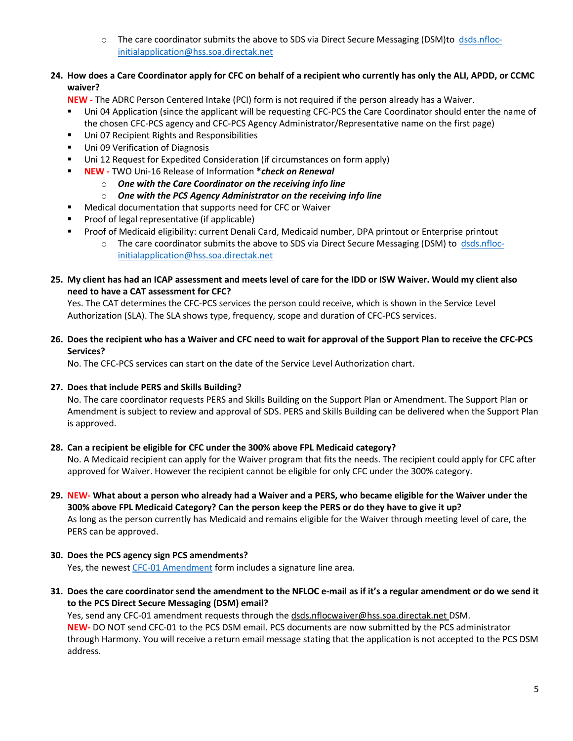o The care coordinator submits the above to SDS via Direct Secure Messaging (DSM)to [dsds.nfloc](mailto:dsds.nfloc-initialapplication@hss.soa.directak.net)[initialapplication@hss.soa.directak.net](mailto:dsds.nfloc-initialapplication@hss.soa.directak.net) 

# **24. How does a Care Coordinator apply for CFC on behalf of a recipient who currently has only the ALI, APDD, or CCMC waiver?**

**NEW -** The ADRC Person Centered Intake (PCI) form is not required if the person already has a Waiver.

- Uni 04 Application (since the applicant will be requesting CFC-PCS the Care Coordinator should enter the name of the chosen CFC-PCS agency and CFC-PCS Agency Administrator/Representative name on the first page)
- **Uni 07 Recipient Rights and Responsibilities**
- **Uni 09 Verification of Diagnosis**
- Uni 12 Request for Expedited Consideration (if circumstances on form apply)
- **NEW -** TWO Uni-16 Release of Information **\****check on Renewal*
	- o *One with the Care Coordinator on the receiving info line*
	- o *One with the PCS Agency Administrator on the receiving info line*
- Medical documentation that supports need for CFC or Waiver
- **Proof of legal representative (if applicable)**
- Proof of Medicaid eligibility: current Denali Card, Medicaid number, DPA printout or Enterprise printout
	- o The care coordinator submits the above to SDS via Direct Secure Messaging (DSM) to [dsds.nfloc](mailto:dsds.nfloc-initialapplication@hss.soa.directak.net)[initialapplication@hss.soa.directak.net](mailto:dsds.nfloc-initialapplication@hss.soa.directak.net)
- **25. My client has had an ICAP assessment and meets level of care for the IDD or ISW Waiver. Would my client also need to have a CAT assessment for CFC?**

Yes. The CAT determines the CFC-PCS services the person could receive, which is shown in the Service Level Authorization (SLA). The SLA shows type, frequency, scope and duration of CFC-PCS services.

**26. Does the recipient who has a Waiver and CFC need to wait for approval of the Support Plan to receive the CFC-PCS Services?**

No. The CFC-PCS services can start on the date of the Service Level Authorization chart.

#### **27. Does that include PERS and Skills Building?**

No. The care coordinator requests PERS and Skills Building on the Support Plan or Amendment. The Support Plan or Amendment is subject to review and approval of SDS. PERS and Skills Building can be delivered when the Support Plan is approved.

#### **28. Can a recipient be eligible for CFC under the 300% above FPL Medicaid category?**

No. A Medicaid recipient can apply for the Waiver program that fits the needs. The recipient could apply for CFC after approved for Waiver. However the recipient cannot be eligible for only CFC under the 300% category.

**29. NEW- What about a person who already had a Waiver and a PERS, who became eligible for the Waiver under the 300% above FPL Medicaid Category? Can the person keep the PERS or do they have to give it up?**  As long as the person currently has Medicaid and remains eligible for the Waiver through meeting level of care, the PERS can be approved.

# **30. Does the PCS agency sign PCS amendments?**

Yes, the newes[t CFC-01 Amendment](http://dhss.alaska.gov/dsds/Documents/SDSforms/CFC-01_Amendment_Service_Plan.pdf) form includes a signature line area.

**31. Does the care coordinator send the amendment to the NFLOC e-mail as if it's a regular amendment or do we send it to the PCS Direct Secure Messaging (DSM) email?**

Yes, send any CFC-01 amendment requests through the [dsds.nflocwaiver@hss.soa.directak.net](mailto:dsds.nflocwaiver@hss.soa.directak.net) DSM. **NEW-** DO NOT send CFC-01 to the PCS DSM email. PCS documents are now submitted by the PCS administrator through Harmony. You will receive a return email message stating that the application is not accepted to the PCS DSM address.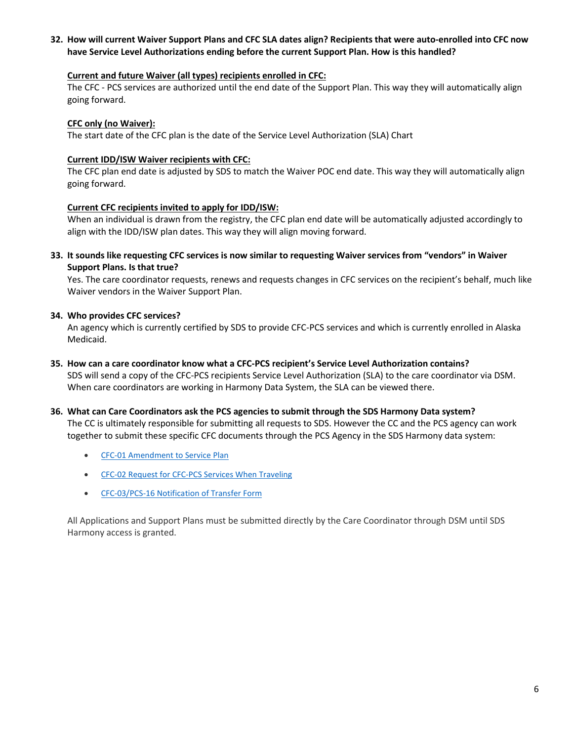#### **32. How will current Waiver Support Plans and CFC SLA dates align? Recipients that were auto-enrolled into CFC now have Service Level Authorizations ending before the current Support Plan. How is this handled?**

#### **Current and future Waiver (all types) recipients enrolled in CFC:**

The CFC - PCS services are authorized until the end date of the Support Plan. This way they will automatically align going forward.

#### **CFC only (no Waiver):**

The start date of the CFC plan is the date of the Service Level Authorization (SLA) Chart

#### **Current IDD/ISW Waiver recipients with CFC:**

The CFC plan end date is adjusted by SDS to match the Waiver POC end date. This way they will automatically align going forward.

#### **Current CFC recipients invited to apply for IDD/ISW:**

When an individual is drawn from the registry, the CFC plan end date will be automatically adjusted accordingly to align with the IDD/ISW plan dates. This way they will align moving forward.

**33. It sounds like requesting CFC services is now similar to requesting Waiver services from "vendors" in Waiver Support Plans. Is that true?** 

Yes. The care coordinator requests, renews and requests changes in CFC services on the recipient's behalf, much like Waiver vendors in the Waiver Support Plan.

#### **34. Who provides CFC services?**

An agency which is currently certified by SDS to provide CFC-PCS services and which is currently enrolled in Alaska Medicaid.

**35. How can a care coordinator know what a CFC-PCS recipient's Service Level Authorization contains?**

SDS will send a copy of the CFC-PCS recipients Service Level Authorization (SLA) to the care coordinator via DSM. When care coordinators are working in Harmony Data System, the SLA can be viewed there.

#### **36. What can Care Coordinators ask the PCS agencies to submit through the SDS Harmony Data system?**

The CC is ultimately responsible for submitting all requests to SDS. However the CC and the PCS agency can work together to submit these specific CFC documents through the PCS Agency in the SDS Harmony data system:

- [CFC-01 Amendment to Service Plan](http://dhss.alaska.gov/dsds/Documents/SDSforms/CFC-01_Amendment_Service_Plan.pdf)
- [CFC-02 Request for CFC-PCS Services When Traveling](http://dhss.alaska.gov/dsds/Documents/SDSforms/CFC-02-PCS-TravelRequest.pdf)
- [CFC-03/PCS-16 Notification of Transfer Form](http://dhss.alaska.gov/dsds/Documents/SDSforms/CFC-03-PCS-16_Transfer.pdf)

All Applications and Support Plans must be submitted directly by the Care Coordinator through DSM until SDS Harmony access is granted.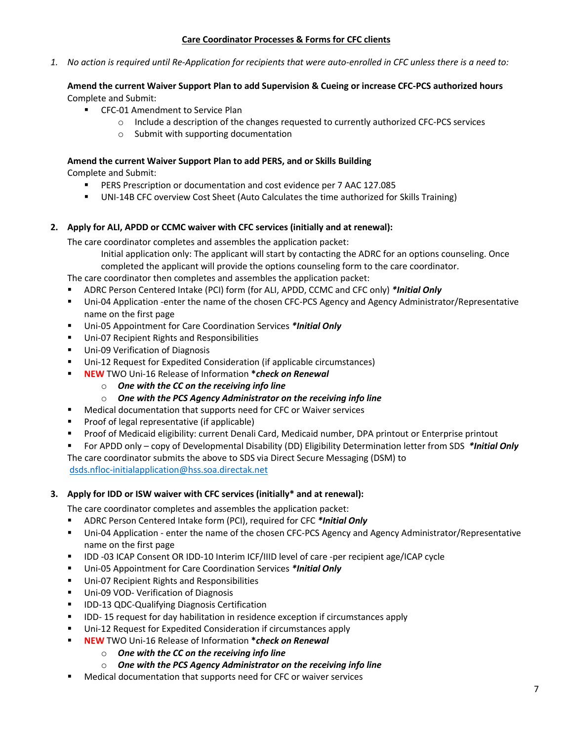#### **Care Coordinator Processes & Forms for CFC clients**

*1. No action is required until Re-Application for recipients that were auto-enrolled in CFC unless there is a need to:* 

#### **Amend the current Waiver Support Plan to add Supervision & Cueing or increase CFC-PCS authorized hours**  Complete and Submit:

- **EXEC-01 Amendment to Service Plan** 
	- o Include a description of the changes requested to currently authorized CFC-PCS services
	- o Submit with supporting documentation

#### **Amend the current Waiver Support Plan to add PERS, and or Skills Building**

Complete and Submit:

- PERS Prescription or documentation and cost evidence per 7 AAC 127.085
- UNI-14B CFC overview Cost Sheet (Auto Calculates the time authorized for Skills Training)

#### **2. Apply for ALI, APDD or CCMC waiver with CFC services (initially and at renewal):**

The care coordinator completes and assembles the application packet:

Initial application only: The applicant will start by contacting the ADRC for an options counseling. Once completed the applicant will provide the options counseling form to the care coordinator.

The care coordinator then completes and assembles the application packet:

- ADRC Person Centered Intake (PCI) form (for ALI, APDD, CCMC and CFC only) *\*Initial Only*
- Uni-04 Application -enter the name of the chosen CFC-PCS Agency and Agency Administrator/Representative name on the first page
- Uni-05 Appointment for Care Coordination Services *\*Initial Only*
- Uni-07 Recipient Rights and Responsibilities
- Uni-09 Verification of Diagnosis
- Uni-12 Request for Expedited Consideration (if applicable circumstances)
- **NEW** TWO Uni-16 Release of Information **\****check on Renewal*
	- o *One with the CC on the receiving info line*
	- o *One with the PCS Agency Administrator on the receiving info line*
- Medical documentation that supports need for CFC or Waiver services
- **Proof of legal representative (if applicable)**
- Proof of Medicaid eligibility: current Denali Card, Medicaid number, DPA printout or Enterprise printout
- For APDD only copy of Developmental Disability (DD) Eligibility Determination letter from SDS *\*Initial Only* The care coordinator submits the above to SDS via Direct Secure Messaging (DSM) to

[dsds.nfloc-initialapplication@hss.soa.directak.net](mailto:dsds.nfloc-initialapplication@hss.soa.directak.net)

#### **3. Apply for IDD or ISW waiver with CFC services (initially\* and at renewal):**

The care coordinator completes and assembles the application packet:

- ADRC Person Centered Intake form (PCI), required for CFC *\*Initial Only*
- Uni-04 Application enter the name of the chosen CFC-PCS Agency and Agency Administrator/Representative name on the first page
- IDD -03 ICAP Consent OR IDD-10 Interim ICF/IIID level of care -per recipient age/ICAP cycle
- Uni-05 Appointment for Care Coordination Services *\*Initial Only*
- **Uni-07 Recipient Rights and Responsibilities**
- **Uni-09 VOD- Verification of Diagnosis**
- **IDD-13 QDC-Qualifying Diagnosis Certification**
- **IDD-15 request for day habilitation in residence exception if circumstances apply**
- **Uni-12 Request for Expedited Consideration if circumstances apply**
- **NEW** TWO Uni-16 Release of Information **\****check on Renewal*
	- o *One with the CC on the receiving info line*
	- o *One with the PCS Agency Administrator on the receiving info line*
- Medical documentation that supports need for CFC or waiver services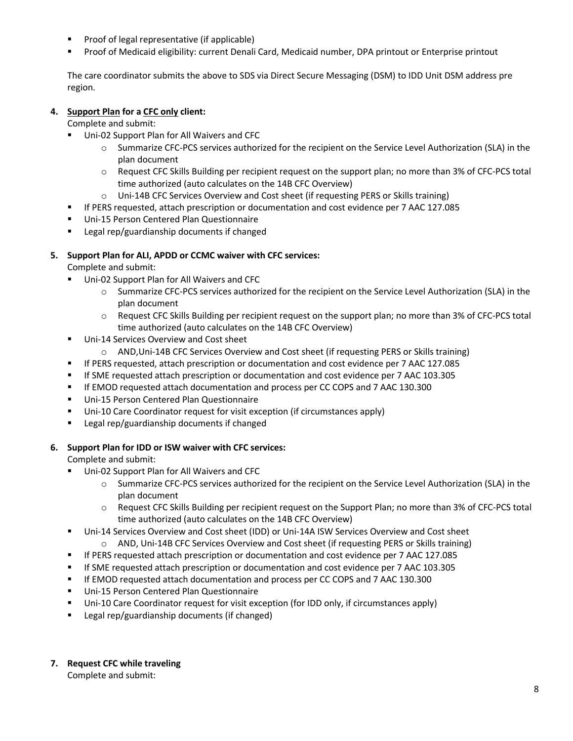- Proof of legal representative (if applicable)
- Proof of Medicaid eligibility: current Denali Card, Medicaid number, DPA printout or Enterprise printout

The care coordinator submits the above to SDS via Direct Secure Messaging (DSM) to IDD Unit DSM address pre region.

# **4. Support Plan for a CFC only client:**

Complete and submit:

- Uni-02 Support Plan for All Waivers and CFC
	- o Summarize CFC-PCS services authorized for the recipient on the Service Level Authorization (SLA) in the plan document
	- o Request CFC Skills Building per recipient request on the support plan; no more than 3% of CFC-PCS total time authorized (auto calculates on the 14B CFC Overview)
	- o Uni-14B CFC Services Overview and Cost sheet (if requesting PERS or Skills training)
- If PERS requested, attach prescription or documentation and cost evidence per 7 AAC 127.085
- Uni-15 Person Centered Plan Questionnaire
- **EXEC** Legal rep/guardianship documents if changed

# **5. Support Plan for ALI, APDD or CCMC waiver with CFC services:**

Complete and submit:

- Uni-02 Support Plan for All Waivers and CFC
	- o Summarize CFC-PCS services authorized for the recipient on the Service Level Authorization (SLA) in the plan document
	- $\circ$  Request CFC Skills Building per recipient request on the support plan; no more than 3% of CFC-PCS total time authorized (auto calculates on the 14B CFC Overview)
- Uni-14 Services Overview and Cost sheet
	- o AND,Uni-14B CFC Services Overview and Cost sheet (if requesting PERS or Skills training)
- If PERS requested, attach prescription or documentation and cost evidence per 7 AAC 127.085
- If SME requested attach prescription or documentation and cost evidence per 7 AAC 103.305
- If EMOD requested attach documentation and process per CC COPS and 7 AAC 130.300
- Uni-15 Person Centered Plan Questionnaire
- Uni-10 Care Coordinator request for visit exception (if circumstances apply)
- **EXEC** Legal rep/guardianship documents if changed

#### **6. Support Plan for IDD or ISW waiver with CFC services:**

Complete and submit:

- Uni-02 Support Plan for All Waivers and CFC
	- o Summarize CFC-PCS services authorized for the recipient on the Service Level Authorization (SLA) in the plan document
	- o Request CFC Skills Building per recipient request on the Support Plan; no more than 3% of CFC-PCS total time authorized (auto calculates on the 14B CFC Overview)
- Uni-14 Services Overview and Cost sheet (IDD) or Uni-14A ISW Services Overview and Cost sheet
	- o AND, Uni-14B CFC Services Overview and Cost sheet (if requesting PERS or Skills training)
- If PERS requested attach prescription or documentation and cost evidence per 7 AAC 127.085
- If SME requested attach prescription or documentation and cost evidence per 7 AAC 103.305
- **If EMOD requested attach documentation and process per CC COPS and 7 AAC 130.300**
- **Uni-15 Person Centered Plan Questionnaire**
- Uni-10 Care Coordinator request for visit exception (for IDD only, if circumstances apply)
- Legal rep/guardianship documents (if changed)

#### **7. Request CFC while traveling**

Complete and submit: